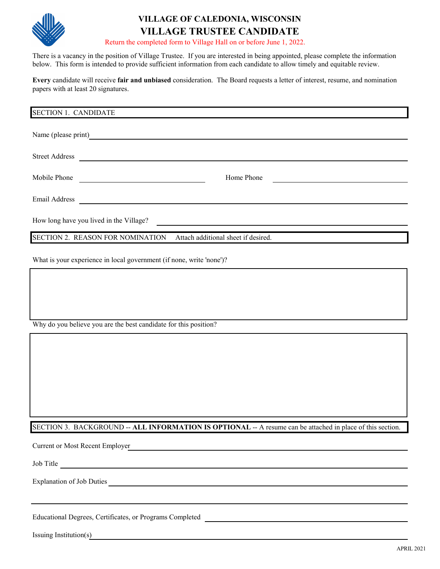

## **VILLAGE OF CALEDONIA, WISCONSIN VILLAGE TRUSTEE CANDIDATE**

Return the completed form to Village Hall on or before June 1, 2022.

There is a vacancy in the position of Village Trustee. If you are interested in being appointed, please complete the information below. This form is intended to provide sufficient information from each candidate to allow timely and equitable review.

**Every** candidate will receive **fair and unbiased** consideration. The Board requests a letter of interest, resume, and nomination papers with at least 20 signatures.

| <b>SECTION 1. CANDIDATE</b> |                                                                                                                       |                                                           |                                            |  |  |  |  |
|-----------------------------|-----------------------------------------------------------------------------------------------------------------------|-----------------------------------------------------------|--------------------------------------------|--|--|--|--|
|                             | Name (please print)                                                                                                   |                                                           |                                            |  |  |  |  |
| <b>Street Address</b>       |                                                                                                                       | <u> 1989 - Johann John Stone, Amerikaansk politiker (</u> |                                            |  |  |  |  |
| Mobile Phone                | <u> 1989 - Johann Harry Harry Harry Harry Harry Harry Harry Harry Harry Harry Harry Harry Harry Harry Harry Harry</u> | Home Phone                                                | <u> 1989 - Johann John Stone, markin f</u> |  |  |  |  |
| Email Address               |                                                                                                                       |                                                           |                                            |  |  |  |  |
|                             | How long have you lived in the Village?                                                                               |                                                           |                                            |  |  |  |  |
|                             | <b>SECTION 2. REASON FOR NOMINATION</b>                                                                               | Attach additional sheet if desired.                       |                                            |  |  |  |  |

What is your experience in local government (if none, write 'none')?

Why do you believe you are the best candidate for this position?

SECTION 3. BACKGROUND -- **ALL INFORMATION IS OPTIONAL** -- A resume can be attached in place of this section.

Current or Most Recent Employer

Job Title

Explanation of Job Duties

Educational Degrees, Certificates, or Programs Completed

Issuing Institution(s)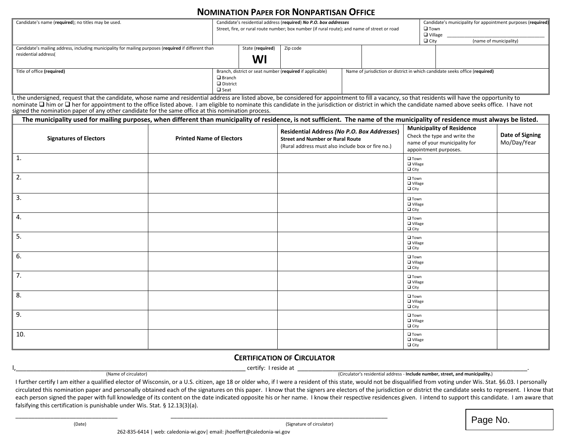## **NOMINATION PAPER FOR NONPARTISAN OFFICE**

| Candidate's name (required); no titles may be used.                                                  |                 | Candidate's residential address (required) No P.O. box addresses<br>Street, fire, or rural route number; box number (if rural route); and name of street or road |          |  |  |                                                                             | Candidate's municipality for appointment purposes (required)<br>$\Box$ Town<br>$\Box$ Village |  |
|------------------------------------------------------------------------------------------------------|-----------------|------------------------------------------------------------------------------------------------------------------------------------------------------------------|----------|--|--|-----------------------------------------------------------------------------|-----------------------------------------------------------------------------------------------|--|
|                                                                                                      |                 |                                                                                                                                                                  |          |  |  |                                                                             | $\Box$ City<br>(name of municipality)                                                         |  |
| Candidate's mailing address, including municipality for mailing purposes (required if different than |                 | State (required)                                                                                                                                                 | Zip code |  |  |                                                                             |                                                                                               |  |
| residential address(                                                                                 |                 | WI                                                                                                                                                               |          |  |  |                                                                             |                                                                                               |  |
| Title of office (required)<br>$\Box$ Branch                                                          |                 | Branch, district or seat number (required if applicable)                                                                                                         |          |  |  | Name of jurisdiction or district in which candidate seeks office (required) |                                                                                               |  |
|                                                                                                      | $\Box$ District |                                                                                                                                                                  |          |  |  |                                                                             |                                                                                               |  |
|                                                                                                      | $\square$ Seat  |                                                                                                                                                                  |          |  |  |                                                                             |                                                                                               |  |

I, the undersigned, request that the candidate, whose name and residential address are listed above, be considered for appointment to fill a vacancy, so that residents will have the opportunity to nominate  $\Box$  him or  $\Box$  her for appointment to the office listed above. I am eligible to nominate this candidate in the jurisdiction or district in which the candidate named above seeks office. I have not signed the nomination paper of any other candidate for the same office at this nomination process.

| The municipality used for mailing purposes, when different than municipality of residence, is not sufficient. The name of the municipality of residence must always be listed. |                                 |                                                                                                                                             |                                                                                                                            |                                |  |  |  |  |  |
|--------------------------------------------------------------------------------------------------------------------------------------------------------------------------------|---------------------------------|---------------------------------------------------------------------------------------------------------------------------------------------|----------------------------------------------------------------------------------------------------------------------------|--------------------------------|--|--|--|--|--|
| <b>Signatures of Electors</b>                                                                                                                                                  | <b>Printed Name of Electors</b> | Residential Address (No P.O. Box Addresses)<br><b>Street and Number or Rural Route</b><br>(Rural address must also include box or fire no.) | <b>Municipality of Residence</b><br>Check the type and write the<br>name of your municipality for<br>appointment purposes. | Date of Signing<br>Mo/Day/Year |  |  |  |  |  |
| $\vert$ 1.                                                                                                                                                                     |                                 |                                                                                                                                             | $\square$ Town<br>$\n  u$ Village<br>$\Box$ City                                                                           |                                |  |  |  |  |  |
| $\vert$ 2.                                                                                                                                                                     |                                 |                                                                                                                                             | $\square$ Town<br>$\Box$ Village<br>$\Box$ City                                                                            |                                |  |  |  |  |  |
| 3.                                                                                                                                                                             |                                 |                                                                                                                                             | $\square$ Town<br>$\n  u$ Village<br>$\Box$ City                                                                           |                                |  |  |  |  |  |
| 4.                                                                                                                                                                             |                                 |                                                                                                                                             | $\square$ Town<br>$\Box$ Village<br>$\Box$ City                                                                            |                                |  |  |  |  |  |
| 5.                                                                                                                                                                             |                                 |                                                                                                                                             | $\square$ Town<br>□ Village<br>$\Box$ City                                                                                 |                                |  |  |  |  |  |
| 6.                                                                                                                                                                             |                                 |                                                                                                                                             | $\square$ Town<br><b>Q</b> Village<br>$\Box$ City                                                                          |                                |  |  |  |  |  |
| ┃ 7.                                                                                                                                                                           |                                 |                                                                                                                                             | $\Box$ Town<br>$\Box$ Village<br>$\Box$ City                                                                               |                                |  |  |  |  |  |
| 8.                                                                                                                                                                             |                                 |                                                                                                                                             | $\square$ Town<br>$\Box$ Village<br>$\Box$ City                                                                            |                                |  |  |  |  |  |
| 9.                                                                                                                                                                             |                                 |                                                                                                                                             | $\square$ Town<br>□ Village<br>$\Box$ City                                                                                 |                                |  |  |  |  |  |
| 10.                                                                                                                                                                            |                                 |                                                                                                                                             | $\square$ Town<br>$\n  u$ Village<br>$\Box$ City                                                                           |                                |  |  |  |  |  |

## **CERTIFICATION OF CIRCULATOR**

(Name of circulator) **COVIDENT** Certify: I reside at <u>Circulator's residential address</u> - **Include number, street, and municipality.**)

I further certify I am either a qualified elector of Wisconsin, or a U.S. citizen, age 18 or older who, if I were a resident of this state, would not be disqualified from voting under Wis. Stat. §6.03. I personally circulated this nomination paper and personally obtained each of the signatures on this paper. I know that the signers are electors of the jurisdiction or district the candidate seeks to represent. I know that each person signed the paper with full knowledge of its content on the date indicated opposite his or her name. I know their respective residences given. I intend to support this candidate. I am aware that falsifying this certification is punishable under Wis. Stat. § 12.13(3)(a).

 $\overline{\phantom{a_{(B)_{\mathrm{inter}}\leftarrow\{(B)_{\mathrm{ate}}\}}$  (Date)  $\overline{\phantom{a_{(B)_{\mathrm{ate}}\leftarrow\{B\}}}$  (Signature of circulator) (Signature of circulator)